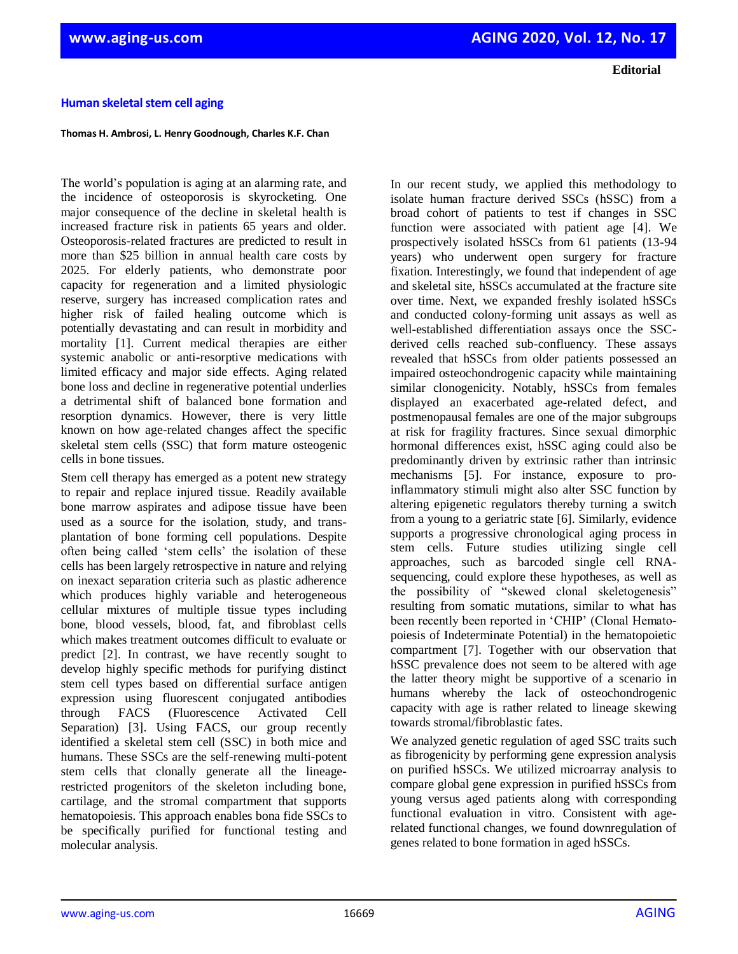**Editorial**

## **Human skeletal stem cell aging**

## **Thomas H. Ambrosi, L. Henry Goodnough, Charles K.F. Chan**

The world's population is aging at an alarming rate, and the incidence of osteoporosis is skyrocketing. One major consequence of the decline in skeletal health is increased fracture risk in patients 65 years and older. Osteoporosis-related fractures are predicted to result in more than \$25 billion in annual health care costs by 2025. For elderly patients, who demonstrate poor capacity for regeneration and a limited physiologic reserve, surgery has increased complication rates and higher risk of failed healing outcome which is potentially devastating and can result in morbidity and mortality [1]. Current medical therapies are either systemic anabolic or anti-resorptive medications with limited efficacy and major side effects. Aging related bone loss and decline in regenerative potential underlies a detrimental shift of balanced bone formation and resorption dynamics. However, there is very little known on how age-related changes affect the specific skeletal stem cells (SSC) that form mature osteogenic cells in bone tissues.

Stem cell therapy has emerged as a potent new strategy to repair and replace injured tissue. Readily available bone marrow aspirates and adipose tissue have been used as a source for the isolation, study, and transplantation of bone forming cell populations. Despite often being called 'stem cells' the isolation of these cells has been largely retrospective in nature and relying on inexact separation criteria such as plastic adherence which produces highly variable and heterogeneous cellular mixtures of multiple tissue types including bone, blood vessels, blood, fat, and fibroblast cells which makes treatment outcomes difficult to evaluate or predict [2]. In contrast, we have recently sought to develop highly specific methods for purifying distinct stem cell types based on differential surface antigen expression using fluorescent conjugated antibodies through FACS (Fluorescence Activated Cell Separation) [3]. Using FACS, our group recently identified a skeletal stem cell (SSC) in both mice and humans. These SSCs are the self-renewing multi-potent stem cells that clonally generate all the lineagerestricted progenitors of the skeleton including bone, cartilage, and the stromal compartment that supports hematopoiesis. This approach enables bona fide SSCs to be specifically purified for functional testing and molecular analysis.

In our recent study, we applied this methodology to isolate human fracture derived SSCs (hSSC) from a broad cohort of patients to test if changes in SSC function were associated with patient age [4]. We prospectively isolated hSSCs from 61 patients (13-94 years) who underwent open surgery for fracture fixation. Interestingly, we found that independent of age and skeletal site, hSSCs accumulated at the fracture site over time. Next, we expanded freshly isolated hSSCs and conducted colony-forming unit assays as well as well-established differentiation assays once the SSCderived cells reached sub-confluency. These assays revealed that hSSCs from older patients possessed an impaired osteochondrogenic capacity while maintaining similar clonogenicity. Notably, hSSCs from females displayed an exacerbated age-related defect, and postmenopausal females are one of the major subgroups at risk for fragility fractures. Since sexual dimorphic hormonal differences exist, hSSC aging could also be predominantly driven by extrinsic rather than intrinsic mechanisms [5]. For instance, exposure to proinflammatory stimuli might also alter SSC function by altering epigenetic regulators thereby turning a switch from a young to a geriatric state [6]. Similarly, evidence supports a progressive chronological aging process in stem cells. Future studies utilizing single cell approaches, such as barcoded single cell RNAsequencing, could explore these hypotheses, as well as the possibility of "skewed clonal skeletogenesis" resulting from somatic mutations, similar to what has been recently been reported in 'CHIP' (Clonal Hematopoiesis of Indeterminate Potential) in the hematopoietic compartment [7]. Together with our observation that hSSC prevalence does not seem to be altered with age the latter theory might be supportive of a scenario in humans whereby the lack of osteochondrogenic capacity with age is rather related to lineage skewing towards stromal/fibroblastic fates.

We analyzed genetic regulation of aged SSC traits such as fibrogenicity by performing gene expression analysis on purified hSSCs. We utilized microarray analysis to compare global gene expression in purified hSSCs from young versus aged patients along with corresponding functional evaluation in vitro. Consistent with agerelated functional changes, we found downregulation of genes related to bone formation in aged hSSCs.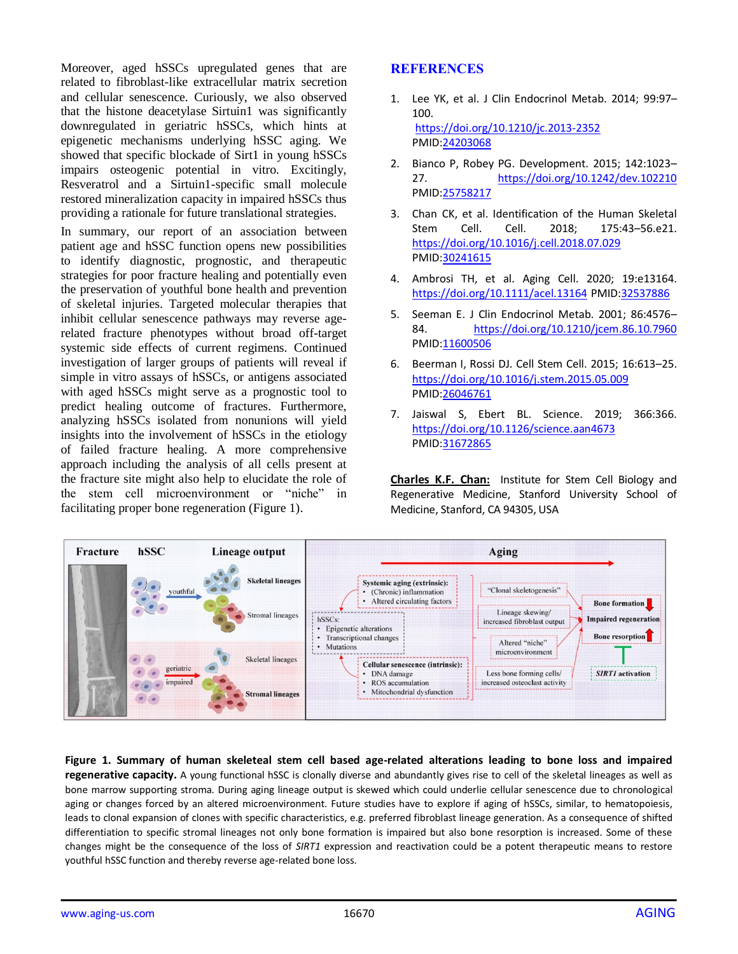Moreover, aged hSSCs upregulated genes that are related to fibroblast-like extracellular matrix secretion and cellular senescence. Curiously, we also observed that the histone deacetylase Sirtuin1 was significantly downregulated in geriatric hSSCs, which hints at epigenetic mechanisms underlying hSSC aging. We showed that specific blockade of Sirt1 in young hSSCs impairs osteogenic potential in vitro. Excitingly, Resveratrol and a Sirtuin1-specific small molecule restored mineralization capacity in impaired hSSCs thus providing a rationale for future translational strategies.

In summary, our report of an association between patient age and hSSC function opens new possibilities to identify diagnostic, prognostic, and therapeutic strategies for poor fracture healing and potentially even the preservation of youthful bone health and prevention of skeletal injuries. Targeted molecular therapies that inhibit cellular senescence pathways may reverse agerelated fracture phenotypes without broad off-target systemic side effects of current regimens. Continued investigation of larger groups of patients will reveal if simple in vitro assays of hSSCs, or antigens associated with aged hSSCs might serve as a prognostic tool to predict healing outcome of fractures. Furthermore, analyzing hSSCs isolated from nonunions will yield insights into the involvement of hSSCs in the etiology of failed fracture healing. A more comprehensive approach including the analysis of all cells present at the fracture site might also help to elucidate the role of the stem cell microenvironment or "niche" in facilitating proper bone regeneration (Figure 1).

## **REFERENCES**

- 1. Lee YK, et al. J Clin Endocrinol Metab. 2014; 99:97– 100. <https://doi.org/10.1210/jc.2013-2352> PMID[:24203068](https://www.ncbi.nlm.nih.gov/entrez/query.fcgi?cmd=Retrieve&db=PubMed&list_uids=24203068&dopt=Abstract)
- 2. Bianco P, Robey PG. Development. 2015; 142:1023– 27. <https://doi.org/10.1242/dev.102210> PMID[:25758217](https://www.ncbi.nlm.nih.gov/entrez/query.fcgi?cmd=Retrieve&db=PubMed&list_uids=25758217&dopt=Abstract)
- 3. Chan CK, et al. Identification of the Human Skeletal Stem Cell. Cell. 2018; 175:43–56.e21. <https://doi.org/10.1016/j.cell.2018.07.029> PMID[:30241615](https://www.ncbi.nlm.nih.gov/entrez/query.fcgi?cmd=Retrieve&db=PubMed&list_uids=30241615&dopt=Abstract)
- 4. Ambrosi TH, et al. Aging Cell. 2020; 19:e13164. <https://doi.org/10.1111/acel.13164> PMID[:32537886](https://www.ncbi.nlm.nih.gov/entrez/query.fcgi?cmd=Retrieve&db=PubMed&list_uids=32537886&dopt=Abstract)
- 5. Seeman E. J Clin Endocrinol Metab. 2001; 86:4576– 84. <https://doi.org/10.1210/jcem.86.10.7960> PMID[:11600506](https://www.ncbi.nlm.nih.gov/entrez/query.fcgi?cmd=Retrieve&db=PubMed&list_uids=11600506&dopt=Abstract)
- 6. Beerman I, Rossi DJ. Cell Stem Cell. 2015; 16:613–25. <https://doi.org/10.1016/j.stem.2015.05.009> PMID[:26046761](https://www.ncbi.nlm.nih.gov/entrez/query.fcgi?cmd=Retrieve&db=PubMed&list_uids=26046761&dopt=Abstract)
- 7. Jaiswal S, Ebert BL. Science. 2019; 366:366. <https://doi.org/10.1126/science.aan4673> PMID[:31672865](https://www.ncbi.nlm.nih.gov/entrez/query.fcgi?cmd=Retrieve&db=PubMed&list_uids=31672865&dopt=Abstract)

**Charles K.F. Chan:** Institute for Stem Cell Biology and Regenerative Medicine, Stanford University School of Medicine, Stanford, CA 94305, USA



**Figure 1. Summary of human skeleteal stem cell based age-related alterations leading to bone loss and impaired regenerative capacity.** A young functional hSSC is clonally diverse and abundantly gives rise to cell of the skeletal lineages as well as bone marrow supporting stroma. During aging lineage output is skewed which could underlie cellular senescence due to chronological aging or changes forced by an altered microenvironment. Future studies have to explore if aging of hSSCs, similar, to hematopoiesis, leads to clonal expansion of clones with specific characteristics, e.g. preferred fibroblast lineage generation. As a consequence of shifted differentiation to specific stromal lineages not only bone formation is impaired but also bone resorption is increased. Some of these changes might be the consequence of the loss of *SIRT1* expression and reactivation could be a potent therapeutic means to restore youthful hSSC function and thereby reverse age-related bone loss.